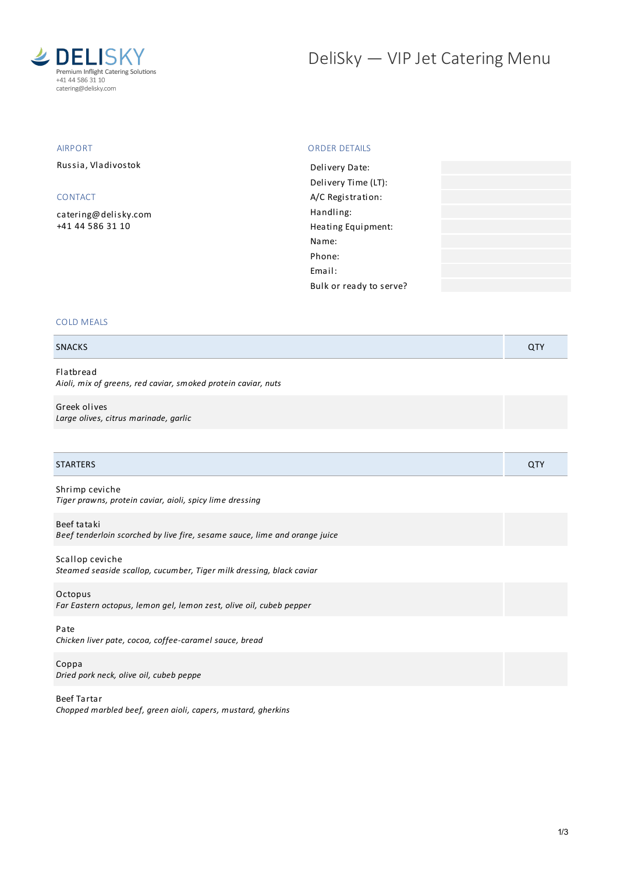

# DeliSky - VIP Jet Catering Menu

# AIRPORT

Russia, Vladivostok

# CONTACT

[catering@delisky.com](mailto:catering@delisky.com) +41 44 586 31 10

## ORDER DETAILS

| Delivery Date:          |  |
|-------------------------|--|
| Delivery Time (LT):     |  |
| A/C Registration:       |  |
| Handling:               |  |
| Heating Equipment:      |  |
| Name:                   |  |
| Phone:                  |  |
| Email:                  |  |
| Bulk or ready to serve? |  |
|                         |  |

# COLD MEALS

# SNACKS **QTY QTY**

Flatbread *Aioli, mix of greens, red caviar, smoked protein caviar, nuts*

Greek olives *Large olives, citrus marinade, garlic*

| <b>STARTERS</b>                                                                           | QTY |
|-------------------------------------------------------------------------------------------|-----|
| Shrimp ceviche<br>Tiger prawns, protein caviar, aioli, spicy lime dressing                |     |
| Beef tataki<br>Beef tenderloin scorched by live fire, sesame sauce, lime and orange juice |     |
| Scallop ceviche<br>Steamed seaside scallop, cucumber, Tiger milk dressing, black caviar   |     |
| Octopus<br>Far Eastern octopus, lemon gel, lemon zest, olive oil, cubeb pepper            |     |
| Pate<br>Chicken liver pate, cocoa, coffee-caramel sauce, bread                            |     |
| Coppa<br>Dried pork neck, olive oil, cubeb peppe                                          |     |

Beef Tartar *Chopped marbled beef, green aioli, capers, mustard, gherkins*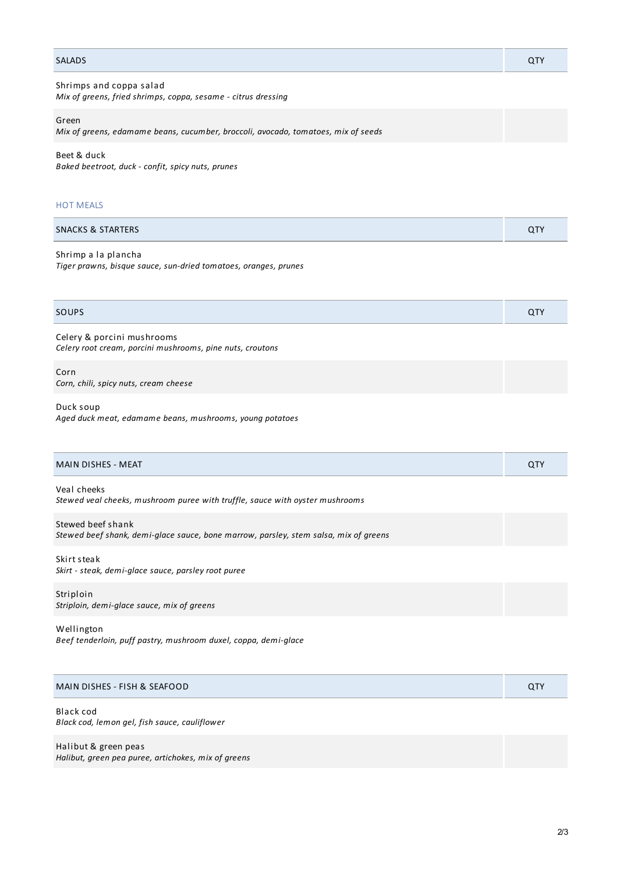| <b>SALADS</b>                                                                              | <b>QTY</b> |
|--------------------------------------------------------------------------------------------|------------|
| Shrimps and coppa salad<br>Mix of greens, fried shrimps, coppa, sesame - citrus dressing   |            |
| Green<br>Mix of greens, edamame beans, cucumber, broccoli, avocado, tomatoes, mix of seeds |            |

Beet & duck *Baked beetroot, duck - confit, spicy nuts, prunes*

#### HOT MEALS

| <b>SNACKS &amp; STARTERS</b> | <b>ATV</b><br><b>UI</b> |
|------------------------------|-------------------------|
|                              |                         |

#### Shrimp a la plancha

*Tiger prawns, bisque sauce, sun-dried tomatoes, oranges, prunes*

# SOUPS And the contract of the contract of the contract of the contract of the contract of the contract of the contract of the contract of the contract of the contract of the contract of the contract of the contract of the

Celery & porcini mushrooms *Celery root cream, porcini mushrooms, pine nuts, croutons*

Corn *Corn, chili, spicy nuts, cream cheese*

#### Duck soup

*Aged duck meat, edamame beans, mushrooms, young potatoes*

| <b>MAIN DISHES - MEAT</b>                                                                                 | <b>QTY</b> |
|-----------------------------------------------------------------------------------------------------------|------------|
| Veal cheeks<br>Stewed veal cheeks, mushroom puree with truffle, sauce with oyster mushrooms               |            |
| Stewed beef shank<br>Stewed beef shank, demi-glace sauce, bone marrow, parsley, stem salsa, mix of greens |            |
| Skirt steak<br>Skirt - steak, demi-glace sauce, parsley root puree                                        |            |
| Striploin<br>Striploin, demi-glace sauce, mix of greens                                                   |            |
| Wellington                                                                                                |            |

*Beef tenderloin, puff pastry, mushroom duxel, coppa, demi-glace*

| MAIN DISHES - FISH & SEAFOOD | QTY |
|------------------------------|-----|
|                              |     |

#### Black cod *Black cod, lemon gel, fish sauce, cauliflower*

Halibut & green peas *Halibut, green pea puree, artichokes, mix of greens*